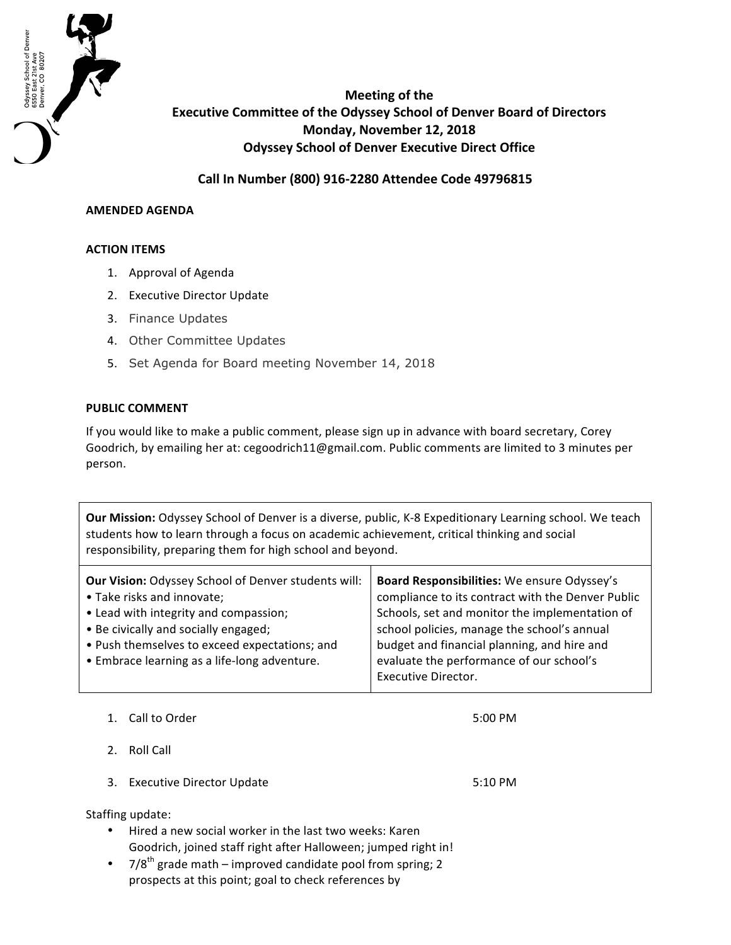

**Meeting of the Executive Committee of the Odyssey School of Denver Board of Directors Monday, November 12, 2018 Odyssey School of Denver Executive Direct Office** 

**Call In Number (800) 916-2280 Attendee Code 49796815**

## **AMENDED AGENDA**

## **ACTION ITEMS**

- 1. Approval of Agenda
- 2. Executive Director Update
- 3. Finance Updates
- 4. Other Committee Updates
- 5. Set Agenda for Board meeting November 14, 2018

## **PUBLIC COMMENT**

If you would like to make a public comment, please sign up in advance with board secretary, Corey Goodrich, by emailing her at: cegoodrich11@gmail.com. Public comments are limited to 3 minutes per person.

**Our Mission:** Odyssey School of Denver is a diverse, public, K-8 Expeditionary Learning school. We teach students how to learn through a focus on academic achievement, critical thinking and social responsibility, preparing them for high school and beyond.

1. Call to Order 6:00 PM

- 2. Roll Call
- 3. Executive Director Update

5:10 PM

Staffing update:

- Hired a new social worker in the last two weeks: Karen Goodrich, joined staff right after Halloween; jumped right in!
- $7/8<sup>th</sup>$  grade math improved candidate pool from spring; 2 prospects at this point; goal to check references by